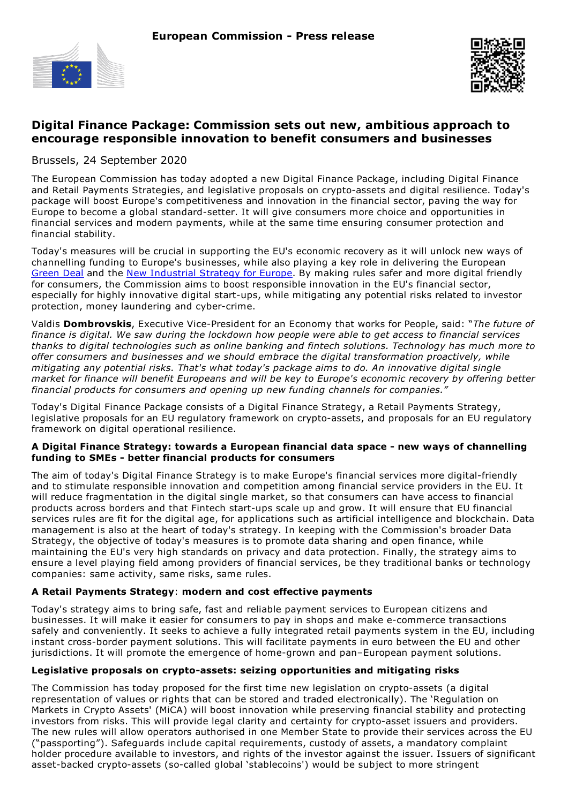



# **Digital Finance Package: Commission sets out new, ambitious approach to encourage responsible innovation to benefit consumers and businesses**

Brussels, 24 September 2020

The European Commission has today adopted a new Digital Finance Package, including Digital Finance and Retail Payments Strategies, and legislative proposals on crypto-assets and digital resilience. Today's package will boost Europe's competitiveness and innovation in the financial sector, paving the way for Europe to become a global standard-setter. It will give consumers more choice and opportunities in financial services and modern payments, while at the same time ensuring consumer protection and financial stability.

Today's measures will be crucial in supporting the EU's economic recovery as it will unlock new ways of channelling funding to Europe's businesses, while also playing a key role in delivering the European [Green](https://ec.europa.eu/info/strategy/priorities-2019-2024/european-green-deal_en) Deal and the New [Industrial](https://ec.europa.eu/info/sites/info/files/communication-eu-industrial-strategy-march-2020_en.pdf) Strategy for Europe. By making rules safer and more digital friendly for consumers, the Commission aims to boost responsible innovation in the EU's financial sector, especially for highly innovative digital start-ups, while mitigating any potential risks related to investor protection, money laundering and cyber-crime.

Valdis **Dombrovskis**, Executive Vice-President for an Economy that works for People, said: "*The future of* finance is digital. We saw during the lockdown how people were able to get access to financial services *thanks to digital technologies such as online banking and fintech solutions. Technology has much more to offer consumers and businesses and we should embrace the digital transformation proactively, while mitigating any potential risks. That's what today's package aims to do. An innovative digital single* market for finance will benefit Europeans and will be key to Europe's economic recovery by offering better *financial products for consumers and opening up new funding channels for companies."*

Today's Digital Finance Package consists of a Digital Finance Strategy, a Retail Payments Strategy, legislative proposals for an EU regulatory framework on crypto-assets, and proposals for an EU regulatory framework on digital operational resilience.

#### **A Digital Finance Strategy: towards a European financial data space - new ways of channelling funding to SMEs - better financial products for consumers**

The aim of today's Digital Finance Strategy is to make Europe's financial services more digital-friendly and to stimulate responsible innovation and competition among financial service providers in the EU. It will reduce fragmentation in the digital single market, so that consumers can have access to financial products across borders and that Fintech start-ups scale up and grow. It will ensure that EU financial services rules are fit for the digital age, for applications such as artificial intelligence and blockchain. Data management is also at the heart of today's strategy. In keeping with the Commission's broader Data Strategy, the objective of today's measures is to promote data sharing and open finance, while maintaining the EU's very high standards on privacy and data protection. Finally, the strategy aims to ensure a level playing field among providers of financial services, be they traditional banks or technology companies: same activity, same risks, same rules.

#### **A Retail Payments Strategy**: **modern and cost effective payments**

Today's strategy aims to bring safe, fast and reliable payment services to European citizens and businesses. It will make it easier for consumers to pay in shops and make e-commerce transactions safely and conveniently. It seeks to achieve a fully integrated retail payments system in the EU, including instant cross-border payment solutions. This will facilitate payments in euro between the EU and other jurisdictions. It will promote the emergence of home-grown and pan–European payment solutions.

#### **Legislative proposals on crypto-assets: seizing opportunities and mitigating risks**

The Commission has today proposed for the first time new legislation on crypto-assets (a digital representation of values or rights that can be stored and traded electronically). The 'Regulation on Markets in Crypto Assets' (MiCA) will boost innovation while preserving financial stability and protecting investors from risks. This will provide legal clarity and certainty for crypto-asset issuers and providers. The new rules will allow operators authorised in one Member State to provide their services across the EU ("passporting"). Safeguards include capital requirements, custody of assets, a mandatory complaint holder procedure available to investors, and rights of the investor against the issuer. Issuers of significant asset-backed crypto-assets (so-called global 'stablecoins') would be subject to more stringent